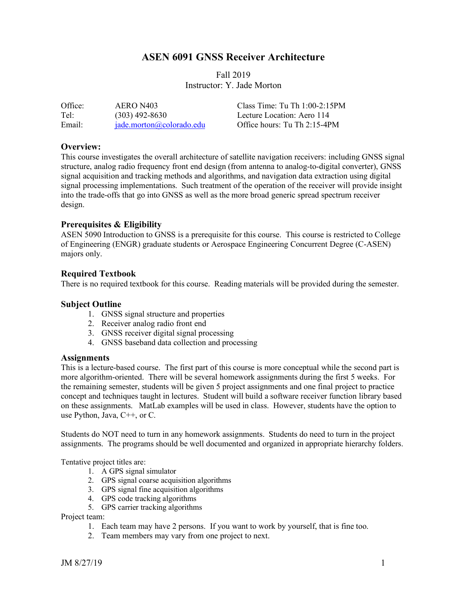# **ASEN 6091 GNSS Receiver Architecture**

# Fall 2019 Instructor: Y. Jade Morton

| Office: | AERO N403                | Class Time: Tu Th $1:00-2:15PM$ |
|---------|--------------------------|---------------------------------|
| Tel:    | $(303)$ 492-8630         | Lecture Location: Aero 114      |
| Email:  | jade.morton@colorado.edu | Office hours: Tu Th 2:15-4PM    |

## **Overview:**

This course investigates the overall architecture of satellite navigation receivers: including GNSS signal structure, analog radio frequency front end design (from antenna to analog-to-digital converter), GNSS signal acquisition and tracking methods and algorithms, and navigation data extraction using digital signal processing implementations. Such treatment of the operation of the receiver will provide insight into the trade-offs that go into GNSS as well as the more broad generic spread spectrum receiver design.

### **Prerequisites & Eligibility**

ASEN 5090 Introduction to GNSS is a prerequisite for this course. This course is restricted to College of Engineering (ENGR) graduate students or Aerospace Engineering Concurrent Degree (C-ASEN) majors only.

### **Required Textbook**

There is no required textbook for this course. Reading materials will be provided during the semester.

## **Subject Outline**

- 1. GNSS signal structure and properties
- 2. Receiver analog radio front end
- 3. GNSS receiver digital signal processing
- 4. GNSS baseband data collection and processing

#### **Assignments**

This is a lecture-based course. The first part of this course is more conceptual while the second part is more algorithm-oriented. There will be several homework assignments during the first 5 weeks. For the remaining semester, students will be given 5 project assignments and one final project to practice concept and techniques taught in lectures. Student will build a software receiver function library based on these assignments. MatLab examples will be used in class. However, students have the option to use Python, Java, C++, or C.

Students do NOT need to turn in any homework assignments. Students do need to turn in the project assignments. The programs should be well documented and organized in appropriate hierarchy folders.

Tentative project titles are:

- 1. A GPS signal simulator
- 2. GPS signal coarse acquisition algorithms
- 3. GPS signal fine acquisition algorithms
- 4. GPS code tracking algorithms
- 5. GPS carrier tracking algorithms

Project team:

- 1. Each team may have 2 persons. If you want to work by yourself, that is fine too.
- 2. Team members may vary from one project to next.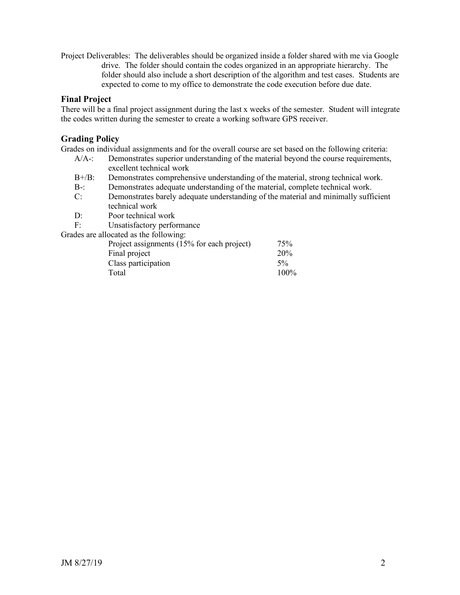Project Deliverables: The deliverables should be organized inside a folder shared with me via Google drive. The folder should contain the codes organized in an appropriate hierarchy. The folder should also include a short description of the algorithm and test cases. Students are expected to come to my office to demonstrate the code execution before due date.

# **Final Project**

There will be a final project assignment during the last x weeks of the semester. Student will integrate the codes written during the semester to create a working software GPS receiver.

# **Grading Policy**

Grades on individual assignments and for the overall course are set based on the following criteria:

- A/A-: Demonstrates superior understanding of the material beyond the course requirements, excellent technical work
- B+/B: Demonstrates comprehensive understanding of the material, strong technical work.
- B-: Demonstrates adequate understanding of the material, complete technical work.
- C: Demonstrates barely adequate understanding of the material and minimally sufficient technical work
- D: Poor technical work
- F: Unsatisfactory performance

Grades are allocated as the following:

| Project assignments (15% for each project) | 75%   |
|--------------------------------------------|-------|
| Final project                              | 20%   |
| Class participation                        | $5\%$ |
| Total                                      | 100%  |